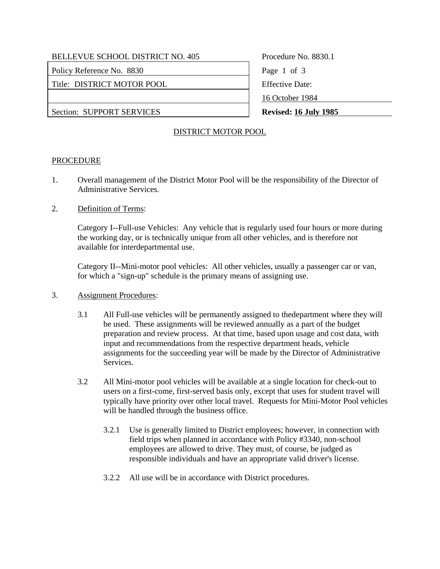| <b>BELLEVUE SCHOOL DISTRICT NO. 405</b> |
|-----------------------------------------|
|-----------------------------------------|

Policy Reference No. 8830 Page 1 of 3

Title: DISTRICT MOTOR POOL FIND FIND Effective Date:

Procedure No. 8830.1 16 October 1984

Section: SUPPORT SERVICES **Revised:** 16 July 1985

# DISTRICT MOTOR POOL

# **PROCEDURE**

- 1. Overall management of the District Motor Pool will be the responsibility of the Director of Administrative Services.
- 2. Definition of Terms:

Category I--Full-use Vehicles: Any vehicle that is regularly used four hours or more during the working day, or is technically unique from all other vehicles, and is therefore not available for interdepartmental use.

Category II--Mini-motor pool vehicles: All other vehicles, usually a passenger car or van, for which a "sign-up" schedule is the primary means of assigning use.

- 3. Assignment Procedures:
	- 3.1 All Full-use vehicles will be permanently assigned to thedepartment where they will be used. These assignments will be reviewed annually as a part of the budget preparation and review process. At that time, based upon usage and cost data, with input and recommendations from the respective department heads, vehicle assignments for the succeeding year will be made by the Director of Administrative Services.
	- 3.2 All Mini-motor pool vehicles will be available at a single location for check-out to users on a first-come, first-served basis only, except that uses for student travel will typically have priority over other local travel. Requests for Mini-Motor Pool vehicles will be handled through the business office.
		- 3.2.1 Use is generally limited to District employees; however, in connection with field trips when planned in accordance with Policy #3340, non-school employees are allowed to drive. They must, of course, be judged as responsible individuals and have an appropriate valid driver's license.
		- 3.2.2 All use will be in accordance with District procedures.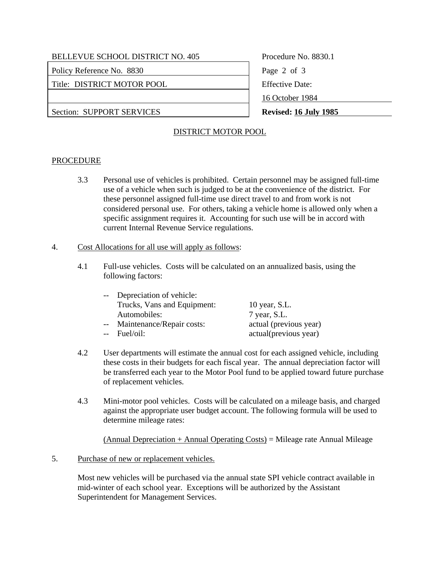# BELLEVUE SCHOOL DISTRICT NO. 405 Procedure No. 8830.1

Policy Reference No. 8830 Page 2 of 3

Title: DISTRICT MOTOR POOL Effective Date:

Section: SUPPORT SERVICES **Revised:** 16 July 1985

16 October 1984

# DISTRICT MOTOR POOL

# **PROCEDURE**

 3.3 Personal use of vehicles is prohibited. Certain personnel may be assigned full-time use of a vehicle when such is judged to be at the convenience of the district. For these personnel assigned full-time use direct travel to and from work is not considered personal use. For others, taking a vehicle home is allowed only when a specific assignment requires it. Accounting for such use will be in accord with current Internal Revenue Service regulations.

### 4. Cost Allocations for all use will apply as follows:

 4.1 Full-use vehicles. Costs will be calculated on an annualized basis, using the following factors:

| -- Depreciation of vehicle:  |                        |
|------------------------------|------------------------|
| Trucks, Vans and Equipment:  | 10 year, S.L.          |
| Automobiles:                 | 7 year, S.L.           |
| -- Maintenance/Repair costs: | actual (previous year) |
| -- Fuel/oil:                 | actual(previous year)  |

- 4.2 User departments will estimate the annual cost for each assigned vehicle, including these costs in their budgets for each fiscal year. The annual depreciation factor will be transferred each year to the Motor Pool fund to be applied toward future purchase of replacement vehicles.
- 4.3 Mini-motor pool vehicles. Costs will be calculated on a mileage basis, and charged against the appropriate user budget account. The following formula will be used to determine mileage rates:

(Annual Depreciation + Annual Operating Costs) = Mileage rate Annual Mileage

# 5. Purchase of new or replacement vehicles.

Most new vehicles will be purchased via the annual state SPI vehicle contract available in mid-winter of each school year. Exceptions will be authorized by the Assistant Superintendent for Management Services.